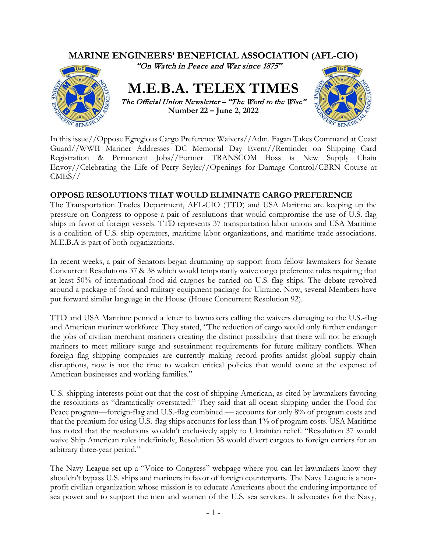

In this issue//Oppose Egregious Cargo Preference Waivers//Adm. Fagan Takes Command at Coast Guard//WWII Mariner Addresses DC Memorial Day Event//Reminder on Shipping Card Registration & Permanent Jobs//Former TRANSCOM Boss is New Supply Chain Envoy//Celebrating the Life of Perry Seyler//Openings for Damage Control/CBRN Course at CMES//

# **OPPOSE RESOLUTIONS THAT WOULD ELIMINATE CARGO PREFERENCE**

The Transportation Trades Department, AFL-CIO (TTD) and USA Maritime are keeping up the pressure on Congress to oppose a pair of resolutions that would compromise the use of U.S.-flag ships in favor of foreign vessels. TTD represents 37 transportation labor unions and USA Maritime is a coalition of U.S. ship operators, maritime labor organizations, and maritime trade associations. M.E.B.A is part of both organizations.

In recent weeks, a pair of Senators began drumming up support from fellow lawmakers for Senate Concurrent Resolutions 37 & 38 which would temporarily waive cargo preference rules requiring that at least 50% of international food aid cargoes be carried on U.S.-flag ships. The debate revolved around a package of food and military equipment package for Ukraine. Now, several Members have put forward similar language in the House (House Concurrent Resolution 92).

TTD and USA Maritime penned a letter to lawmakers calling the waivers damaging to the U.S.-flag and American mariner workforce. They stated, "The reduction of cargo would only further endanger the jobs of civilian merchant mariners creating the distinct possibility that there will not be enough mariners to meet military surge and sustainment requirements for future military conflicts. When foreign flag shipping companies are currently making record profits amidst global supply chain disruptions, now is not the time to weaken critical policies that would come at the expense of American businesses and working families."

U.S. shipping interests point out that the cost of shipping American, as cited by lawmakers favoring the resolutions as "dramatically overstated." They said that all ocean shipping under the Food for Peace program—foreign-flag and U.S.-flag combined — accounts for only 8% of program costs and that the premium for using U.S.-flag ships accounts for less than 1% of program costs. USA Maritime has noted that the resolutions wouldn't exclusively apply to Ukrainian relief. "Resolution 37 would waive Ship American rules indefinitely, Resolution 38 would divert cargoes to foreign carriers for an arbitrary three-year period."

The Navy League set up a "Voice to Congress" webpage where you can let lawmakers know they shouldn't bypass U.S. ships and mariners in favor of foreign counterparts. The Navy League is a nonprofit civilian organization whose mission is to educate Americans about the enduring importance of sea power and to support the men and women of the U.S. sea services. It advocates for the Navy,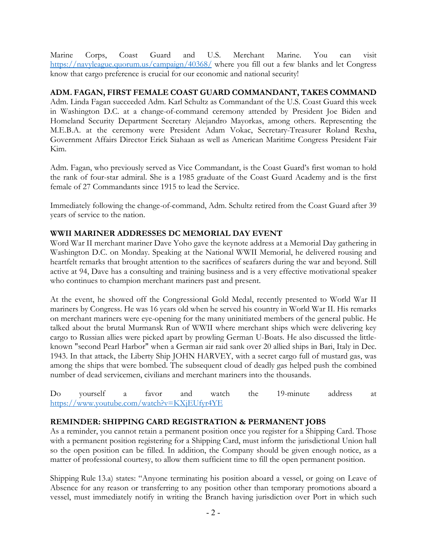Marine Corps, Coast Guard and U.S. Merchant Marine. You can visit <https://navyleague.quorum.us/campaign/40368/> where you fill out a few blanks and let Congress know that cargo preference is crucial for our economic and national security!

#### **ADM. FAGAN, FIRST FEMALE COAST GUARD COMMANDANT, TAKES COMMAND**

Adm. Linda Fagan succeeded Adm. Karl Schultz as Commandant of the U.S. Coast Guard this week in Washington D.C. at a change-of-command ceremony attended by President Joe Biden and Homeland Security Department Secretary Alejandro Mayorkas, among others. Representing the M.E.B.A. at the ceremony were President Adam Vokac, Secretary-Treasurer Roland Rexha, Government Affairs Director Erick Siahaan as well as American Maritime Congress President Fair Kim.

Adm. Fagan, who previously served as Vice Commandant, is the Coast Guard's first woman to hold the rank of four-star admiral. She is a 1985 graduate of the Coast Guard Academy and is the first female of 27 Commandants since 1915 to lead the Service.

Immediately following the change-of-command, Adm. Schultz retired from the Coast Guard after 39 years of service to the nation.

#### **WWII MARINER ADDRESSES DC MEMORIAL DAY EVENT**

Word War II merchant mariner Dave Yoho gave the keynote address at a Memorial Day gathering in Washington D.C. on Monday. Speaking at the National WWII Memorial, he delivered rousing and heartfelt remarks that brought attention to the sacrifices of seafarers during the war and beyond. Still active at 94, Dave has a consulting and training business and is a very effective motivational speaker who continues to champion merchant mariners past and present.

At the event, he showed off the Congressional Gold Medal, recently presented to World War II mariners by Congress. He was 16 years old when he served his country in World War II. His remarks on merchant mariners were eye-opening for the many uninitiated members of the general public. He talked about the brutal Murmansk Run of WWII where merchant ships which were delivering key cargo to Russian allies were picked apart by prowling German U-Boats. He also discussed the littleknown "second Pearl Harbor" when a German air raid sank over 20 allied ships in Bari, Italy in Dec. 1943. In that attack, the Liberty Ship JOHN HARVEY, with a secret cargo full of mustard gas, was among the ships that were bombed. The subsequent cloud of deadly gas helped push the combined number of dead servicemen, civilians and merchant mariners into the thousands.

Do yourself a favor and watch the 19-minute address at <https://www.youtube.com/watch?v=KXjEUfyr4YE>

#### **REMINDER: SHIPPING CARD REGISTRATION & PERMANENT JOBS**

As a reminder, you cannot retain a permanent position once you register for a Shipping Card. Those with a permanent position registering for a Shipping Card, must inform the jurisdictional Union hall so the open position can be filled. In addition, the Company should be given enough notice, as a matter of professional courtesy, to allow them sufficient time to fill the open permanent position.

Shipping Rule 13.a) states: "Anyone terminating his position aboard a vessel, or going on Leave of Absence for any reason or transferring to any position other than temporary promotions aboard a vessel, must immediately notify in writing the Branch having jurisdiction over Port in which such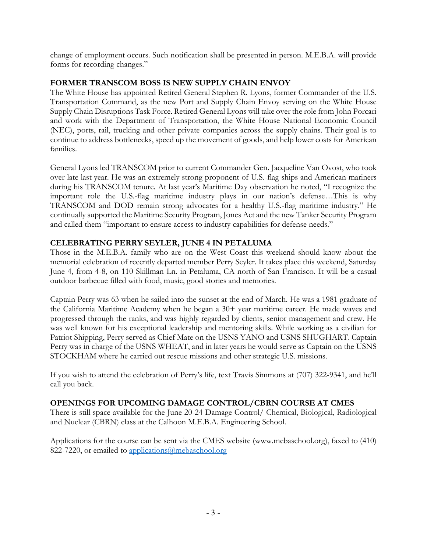change of employment occurs. Such notification shall be presented in person. M.E.B.A. will provide forms for recording changes."

#### **FORMER TRANSCOM BOSS IS NEW SUPPLY CHAIN ENVOY**

The White House has appointed Retired General Stephen R. Lyons, former Commander of the U.S. Transportation Command, as the new Port and Supply Chain Envoy serving on the White House Supply Chain Disruptions Task Force. Retired General Lyons will take over the role from John Porcari and work with the Department of Transportation, the White House National Economic Council (NEC), ports, rail, trucking and other private companies across the supply chains. Their goal is to continue to address bottlenecks, speed up the movement of goods, and help lower costs for American families.

General Lyons led TRANSCOM prior to current Commander Gen. Jacqueline Van Ovost, who took over late last year. He was an extremely strong proponent of U.S.-flag ships and American mariners during his TRANSCOM tenure. At last year's Maritime Day observation he noted, "I recognize the important role the U.S.-flag maritime industry plays in our nation's defense…This is why TRANSCOM and DOD remain strong advocates for a healthy U.S.-flag maritime industry." He continually supported the Maritime Security Program, Jones Act and the new Tanker Security Program and called them "important to ensure access to industry capabilities for defense needs."

# **CELEBRATING PERRY SEYLER, JUNE 4 IN PETALUMA**

Those in the M.E.B.A. family who are on the West Coast this weekend should know about the memorial celebration of recently departed member Perry Seyler. It takes place this weekend, Saturday June 4, from 4-8, on 110 Skillman Ln. in Petaluma, CA north of San Francisco. It will be a casual outdoor barbecue filled with food, music, good stories and memories.

Captain Perry was 63 when he sailed into the sunset at the end of March. He was a 1981 graduate of the California Maritime Academy when he began a 30+ year maritime career. He made waves and progressed through the ranks, and was highly regarded by clients, senior management and crew. He was well known for his exceptional leadership and mentoring skills. While working as a civilian for Patriot Shipping, Perry served as Chief Mate on the USNS YANO and USNS SHUGHART. Captain Perry was in charge of the USNS WHEAT, and in later years he would serve as Captain on the USNS STOCKHAM where he carried out rescue missions and other strategic U.S. missions.

If you wish to attend the celebration of Perry's life, text Travis Simmons at (707) 322-9341, and he'll call you back.

#### **OPENINGS FOR UPCOMING DAMAGE CONTROL/CBRN COURSE AT CMES**

There is still space available for the June 20-24 Damage Control/ Chemical, Biological, Radiological and Nuclear (CBRN) class at the Calhoon M.E.B.A. Engineering School.

Applications for the course can be sent via the CMES website (www.mebaschool.org), faxed to (410) 822-7220, or emailed to [applications@mebaschool.org](mailto:applications@mebaschool.org)